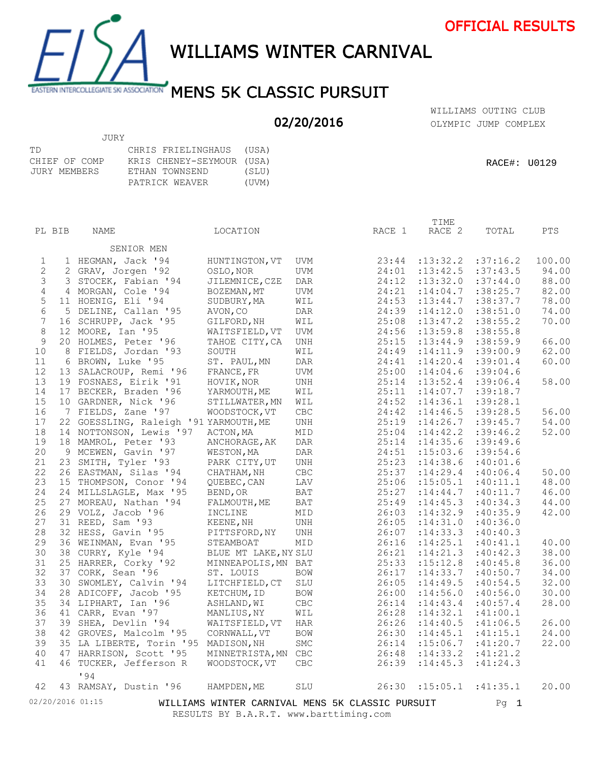



WILLIAMS WINTER CARNIVAL

## EASTERN INTERCOLLEGIATE SKI ASSOCIATION MENS 5K CLASSIC PURSUIT

## 02/20/2016

OLYMPIC JUMP COMPLEX WILLIAMS OUTING CLUB

|               | JURY                      |       |
|---------------|---------------------------|-------|
| TD            | CHRIS FRIELINGHAUS (USA)  |       |
| CHIEF OF COMP | KRIS CHENEY-SEYMOUR (USA) |       |
| JURY MEMBERS  | ETHAN TOWNSEND            | (SLU) |
|               | PATRICK WEAVER            | (UVM) |

|                | PL BIB | NAME                                   | LOCATION                                                                                   |            | RACE 1 | TIME<br>RACE 2 | TOTAL     | <b>PTS</b> |
|----------------|--------|----------------------------------------|--------------------------------------------------------------------------------------------|------------|--------|----------------|-----------|------------|
|                |        |                                        |                                                                                            |            |        |                |           |            |
|                |        | SENIOR MEN                             |                                                                                            |            |        |                |           |            |
| 1              |        | 1 HEGMAN, Jack '94                     | HUNTINGTON, VT                                                                             | UVM        | 23:44  | : 13: 32.2     | :37:16.2  | 100.00     |
| $\sqrt{2}$     |        | 2 GRAV, Jorgen '92                     | OSLO, NOR                                                                                  | UVM        | 24:01  | : 13: 42.5     | :37:43.5  | 94.00      |
| 3              |        | 3 STOCEK, Fabian '94                   | JILEMNICE, CZE                                                                             | <b>DAR</b> | 24:12  | : 13:32.0      | :37:44.0  | 88.00      |
| $\overline{4}$ |        | 4 MORGAN, Cole '94                     | BOZEMAN, MT                                                                                | UVM        | 24:21  | : 14:04.7      | :38:25.7  | 82.00      |
| 5              |        | 11 HOENIG, Eli '94                     | SUDBURY, MA                                                                                | WIL        | 24:53  | : 13: 44.7     | :38:37.7  | 78.00      |
| $\epsilon$     |        | 5 DELINE, Callan '95                   | AVON, CO                                                                                   | DAR        | 24:39  | : 14:12.0      | :38:51.0  | 74.00      |
| 7              |        | 16 SCHRUPP, Jack '95                   | GILFORD, NH                                                                                | WIL        | 25:08  | : 13: 47.2     | :38:55.2  | 70.00      |
| 8              |        | 12 MOORE, Ian '95                      | WAITSFIELD, VT                                                                             | UVM        | 24:56  | :13:59.8       | :38:55.8  |            |
| 9              |        | 20 HOLMES, Peter '96                   | TAHOE CITY, CA                                                                             | UNH        | 25:15  | : 13: 44.9     | :38:59.9  | 66.00      |
| 10             |        | 8 FIELDS, Jordan '93                   | SOUTH                                                                                      | WIL        | 24:49  | : 14: 11.9     | :39:00.9  | 62.00      |
| 11             |        | 6 BROWN, Luke '95                      | ST. PAUL, MN                                                                               | DAR        | 24:41  | : 14:20.4      | :39:01.4  | 60.00      |
| 12             |        | 13 SALACROUP, Remi '96                 | FRANCE, FR                                                                                 | UVM        | 25:00  | : 14:04.6      | :39:04.6  |            |
| 13             |        | 19 FOSNAES, Eirik '91                  | HOVIK, NOR                                                                                 | UNH        | 25:14  | : 13: 52.4     | :39:06.4  | 58.00      |
| 14             |        | 17 BECKER, Braden '96                  | YARMOUTH, ME                                                                               | WIL        | 25:11  | :14:07.7       | :39:18.7  |            |
| 15             |        | 10 GARDNER, Nick '96                   | STILLWATER, MN                                                                             | WIL        | 24:52  | :14:36.1       | :39:28.1  |            |
| 16             |        | 7 FIELDS, Zane '97                     | WOODSTOCK, VT                                                                              | CBC        | 24:42  | : 14:46.5      | :39:28.5  | 56.00      |
| 17             |        | 22 GOESSLING, Raleigh '91 YARMOUTH, ME |                                                                                            | UNH        | 25:19  | :14:26.7       | :39:45.7  | 54.00      |
| 18             |        | 14 NOTTONSON, Lewis '97                | ACTON, MA                                                                                  | MID        | 25:04  | : 14: 42.2     | :39:46.2  | 52.00      |
| 19             |        | 18 MAMROL, Peter '93                   | ANCHORAGE, AK                                                                              | DAR        | 25:14  | : 14: 35.6     | :39:49.6  |            |
| 20             |        | 9 MCEWEN, Gavin '97                    | WESTON, MA                                                                                 | DAR        | 24:51  | : 15:03.6      | :39:54.6  |            |
| 21             |        | 23 SMITH, Tyler '93                    | PARK CITY, UT                                                                              | UNH        | 25:23  | : 14:38.6      | :40:01.6  |            |
| 22             |        | 26 EASTMAN, Silas '94                  | CHATHAM, NH                                                                                | <b>CBC</b> | 25:37  | : 14: 29.4     | :40:06.4  | 50.00      |
| 23             |        | 15 THOMPSON, Conor '94                 | QUEBEC, CAN                                                                                | LAV        | 25:06  | : 15:05.1      | :40:11.1  | 48.00      |
| 24             |        | 24 MILLSLAGLE, Max '95                 | BEND, OR                                                                                   | BAT        | 25:27  | : 14: 44.7     | :40:11.7  | 46.00      |
| 25             |        | 27 MOREAU, Nathan '94                  | FALMOUTH, ME                                                                               | BAT        | 25:49  | : 14: 45.3     | :40:34.3  | 44.00      |
| 26             |        | 29 VOLZ, Jacob '96                     | INCLINE                                                                                    | MID        | 26:03  | : 14:32.9      | :40:35.9  | 42.00      |
| 27             |        | 31 REED, Sam '93                       | KEENE, NH                                                                                  | UNH        | 26:05  | : 14:31.0      | :40:36.0  |            |
| 28             |        | 32 HESS, Gavin '95                     | PITTSFORD, NY                                                                              | UNH        | 26:07  | : 14: 33.3     | :40:40.3  |            |
| 29             |        | 36 WEINMAN, Evan '95                   | STEAMBOAT                                                                                  | MID        | 26:16  | : 14:25.1      | :40:41.1  | 40.00      |
| 30             |        | 38 CURRY, Kyle '94                     | BLUE MT LAKE, NY SLU                                                                       |            | 26:21  | : 14: 21.3     | :40:42.3  | 38.00      |
| 31             |        | 25 HARRER, Corky '92                   | MINNEAPOLIS, MN BAT                                                                        |            | 25:33  | :15:12.8       | :40:45.8  | 36.00      |
| 32             |        | 37 CORK, Sean '96                      | ST. LOUIS                                                                                  | <b>BOW</b> | 26:17  | : 14: 33.7     | :40:50.7  | 34.00      |
| 33             |        | 30 SWOMLEY, Calvin '94                 | LITCHFIELD, CT                                                                             | SLU        | 26:05  | : 14: 49.5     | :40:54.5  | 32.00      |
| 34             |        | 28 ADICOFF, Jacob '95                  | KETCHUM, ID                                                                                | BOW        | 26:00  | : 14:56.0      | :40:56.0  | 30.00      |
| 35             |        | 34 LIPHART, Ian '96                    | ASHLAND, WI                                                                                | <b>CBC</b> | 26:14  | : 14: 43.4     | :40:57.4  | 28.00      |
| 36             |        | 41 CARR, Evan '97                      | MANLIUS, NY                                                                                | WIL        | 26:28  | : 14:32.1      | :41:00.1  |            |
| 37             |        | 39 SHEA, Devlin '94                    | WAITSFIELD, VT                                                                             | HAR        | 26:26  | : 14: 40.5     | :41:06.5  | 26.00      |
| 38             |        | 42 GROVES, Malcolm '95                 | CORNWALL, VT                                                                               | <b>BOW</b> | 26:30  | : 14: 45.1     | :41:15.1  | 24.00      |
| 39             |        | 35 LA LIBERTE, Torin '95               | MADISON, NH                                                                                | <b>SMC</b> | 26:14  | :15:06.7       | :41:20.7  | 22.00      |
| 40             |        | 47 HARRISON, Scott '95                 | MINNETRISTA, MN                                                                            | <b>CBC</b> | 26:48  | : 14: 33.2     | :41:21.2  |            |
| 41             |        |                                        |                                                                                            | CBC        | 26:39  | : 14: 45.3     | : 41:24.3 |            |
|                |        | 46 TUCKER, Jefferson R                 | WOODSTOCK, VT                                                                              |            |        |                |           |            |
| 42             |        | 194<br>43 RAMSAY, Dustin '96           | HAMPDEN, ME                                                                                | SLU        | 26:30  | : 15:05.1      | :41:35.1  | 20.00      |
|                |        | 02/20/2016 01:15                       |                                                                                            |            |        |                | $Pg$ 1    |            |
|                |        |                                        | WILLIAMS WINTER CARNIVAL MENS 5K CLASSIC PURSUIT<br>RESULTS BY B.A.R.T. www.barttiming.com |            |        |                |           |            |
|                |        |                                        |                                                                                            |            |        |                |           |            |